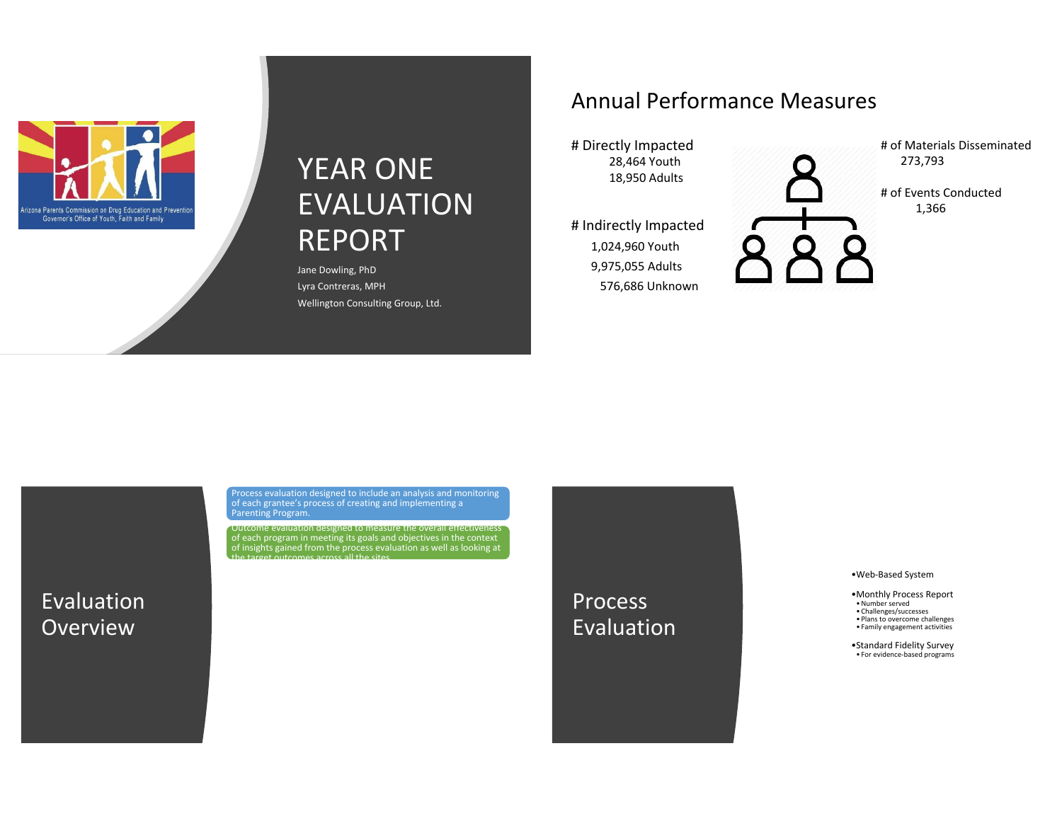

## YEAR ONE EVALUATION REPORT

Jane Dowling, PhD Lyra Contreras, MPH Wellington Consulting Group, Ltd.

### Annual Performance Measures

# Directly Impacted 28,464 Youth 18,950 Adults

# Indirectly Impacted 1,024,960 Youth 9,975,055 Adults 576,686 Unknown

# of Materials Disseminated 273,793

# of Events Conducted 1,366

Process evaluation designed to include an analysis and monitoring of each grantee's process of creating and implementing a Parenting Program.

Outcome evaluation designed to measure the overall effectiveness of each program in meeting its goals and objectives in the context of insights gained from the process evaluation as well as looking at the target outcomes across all the sites.

Evaluation **Overview** 

**Process** Evaluation •Web-Based System

•Monthly Process Report •Number served

• Challenges/successes • Plans to overcome challenges

• Family engagement activities

•Standard Fidelity Survey • For evidence-based programs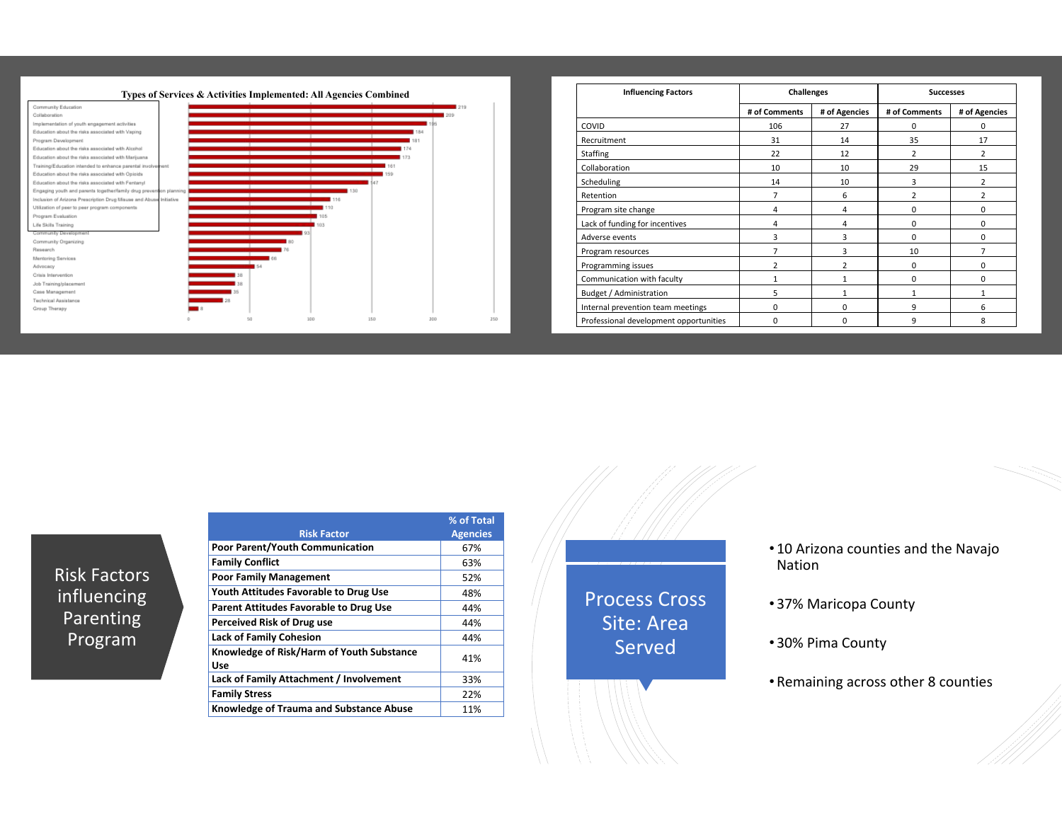

| <b>Influencing Factors</b>             | <b>Challenges</b> |                | <b>Successes</b> |                |
|----------------------------------------|-------------------|----------------|------------------|----------------|
|                                        | # of Comments     | # of Agencies  | # of Comments    | # of Agencies  |
| COVID                                  | 106               | 27             | 0                | 0              |
| Recruitment                            | 31                | 14             | 35               | 17             |
| Staffing                               | 22                | 12             | $\overline{2}$   | $\overline{2}$ |
| Collaboration                          | 10                | 10             | 29               | 15             |
| Scheduling                             | 14                | 10             | 3                | $\overline{2}$ |
| Retention                              | 7                 | 6              | $\overline{2}$   | $\overline{2}$ |
| Program site change                    | 4                 | 4              | $\mathbf 0$      | 0              |
| Lack of funding for incentives         | 4                 | 4              | $\mathbf 0$      | 0              |
| Adverse events                         | 3                 | 3              | $\Omega$         | 0              |
| Program resources                      | 7                 | 3              | 10               | 7              |
| Programming issues                     | $\overline{2}$    | $\overline{2}$ | 0                | 0              |
| Communication with faculty             | 1                 | $\mathbf{1}$   | 0                | 0              |
| Budget / Administration                | 5                 | $\mathbf{1}$   | 1                | $\mathbf{1}$   |
| Internal prevention team meetings      | $\Omega$          | $\Omega$       | 9                | 6              |
| Professional development opportunities | $\Omega$          | $\Omega$       | 9                | 8              |

Risk Factors influencing Parenting Program

|                                                  | % of Total      |
|--------------------------------------------------|-----------------|
| <b>Risk Factor</b>                               | <b>Agencies</b> |
| <b>Poor Parent/Youth Communication</b>           | 67%             |
| <b>Family Conflict</b>                           | 63%             |
| <b>Poor Family Management</b>                    | 52%             |
| Youth Attitudes Favorable to Drug Use            | 48%             |
| <b>Parent Attitudes Favorable to Drug Use</b>    | 44%             |
| Perceived Risk of Drug use                       | 44%             |
| <b>Lack of Family Cohesion</b>                   | 44%             |
| Knowledge of Risk/Harm of Youth Substance<br>Use | 41%             |
| Lack of Family Attachment / Involvement          | 33%             |
| <b>Family Stress</b>                             | 22%             |
| Knowledge of Trauma and Substance Abuse          | 11%             |

Process Cross Site: Area Served

- 10 Arizona counties and the Navajo Nation
- 37% Maricopa County
- 30% Pima County
- Remaining across other 8 counties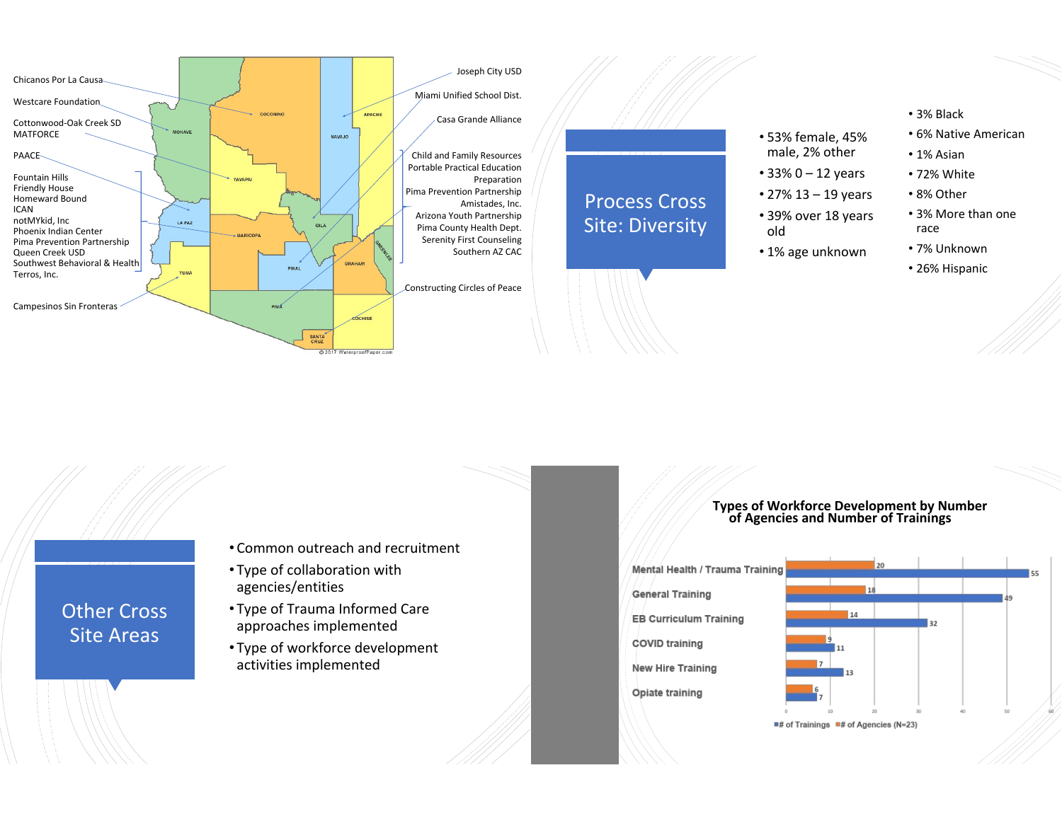

- Common outreach and recruitment
- Type of collaboration with agencies/entities

Other Cross Site Areas

- Type of Trauma Informed Care approaches implemented
- Type of workforce development activities implemented

## **Types of Workforce Development by Number of Agencies and Number of Trainings**

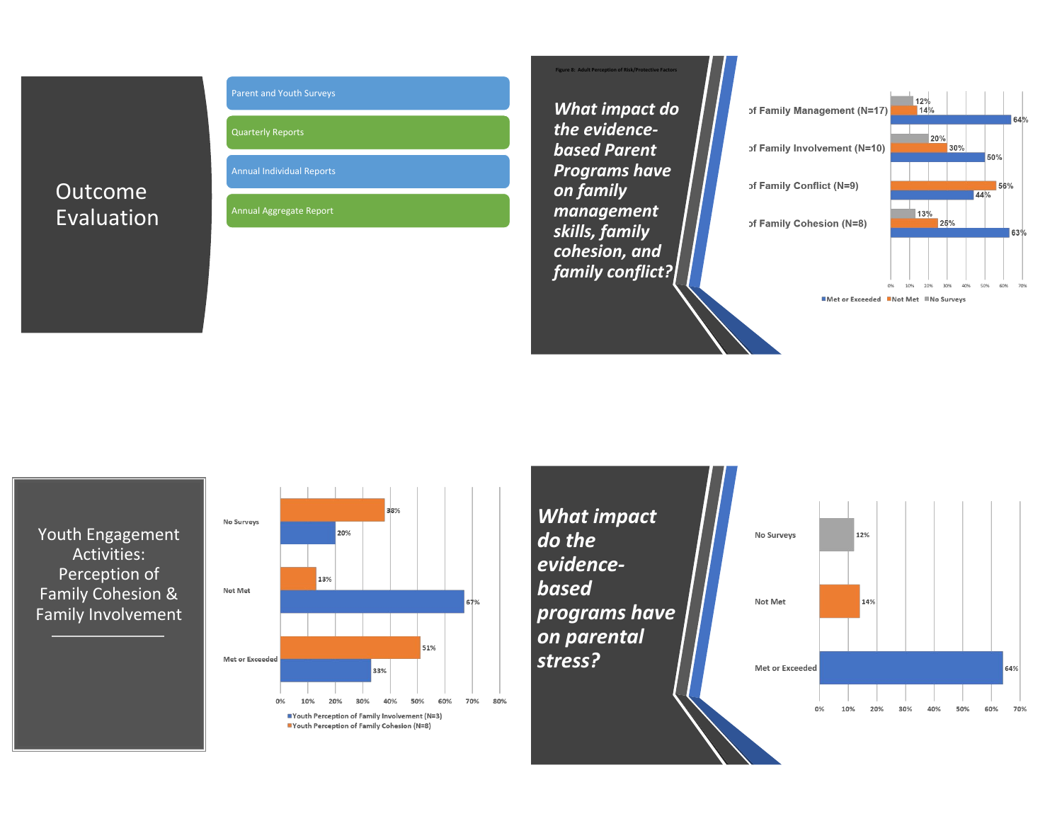### Outcome Evaluation



Quarterly Reports

Annual Individual Reports

Annual Aggregate Report

*What impact do the evidencebased Parent Programs have on family management skills, family cohesion, and family conflict?*

**gure 8: Adult Perc** 



**MMet or Exceeded MNot Met MNo Surveys** 

 $6A<sub>0</sub>$ 

63%

Youth Engagement Activities: Perception of Family Cohesion & Family Involvement



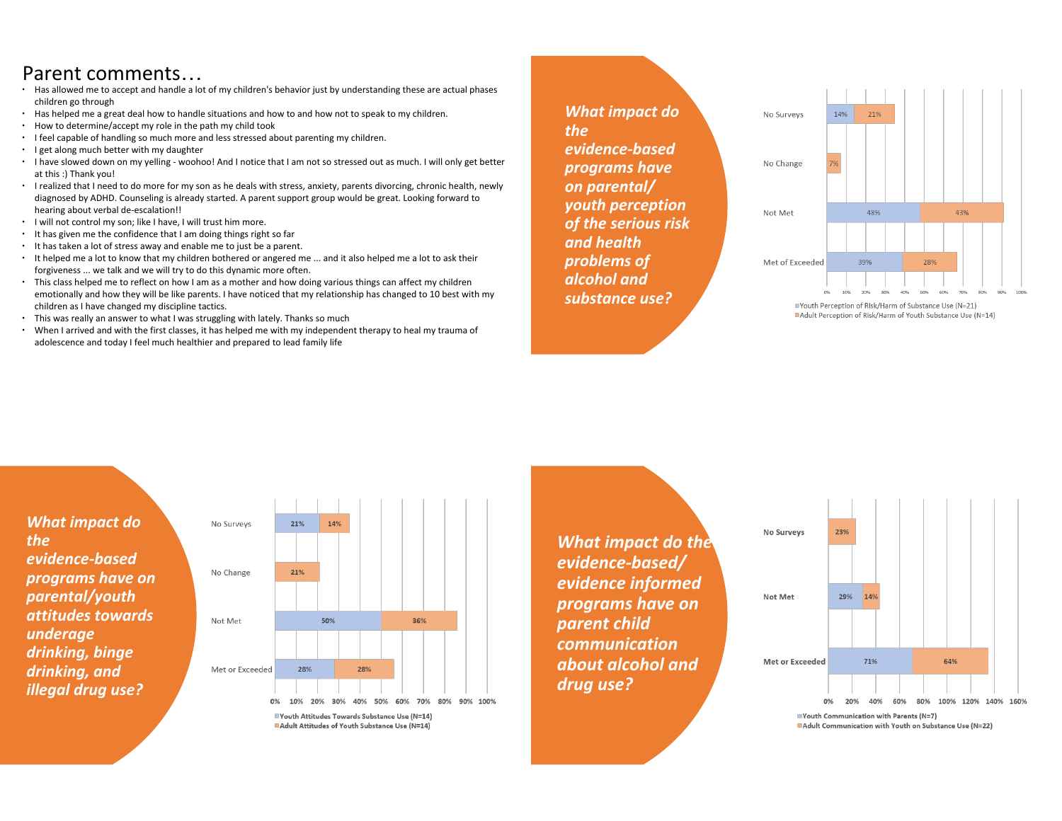### Parent comments…

- ∙ Has allowed me to accept and handle a lot of my children's behavior just by understanding these are actual phases children go through
- ∙ Has helped me a great deal how to handle situations and how to and how not to speak to my children.
- ∙ How to determine/accept my role in the path my child took
- ∙ I feel capable of handling so much more and less stressed about parenting my children.
- ∙ I get along much better with my daughter
- ∙ I have slowed down on my yelling woohoo! And I notice that I am not so stressed out as much. I will only get better at this :) Thank you!
- ∙ I realized that I need to do more for my son as he deals with stress, anxiety, parents divorcing, chronic health, newly diagnosed by ADHD. Counseling is already started. A parent support group would be great. Looking forward to hearing about verbal de-escalation!!
- ∙ I will not control my son; like I have, I will trust him more.
- ∙ It has given me the confidence that I am doing things right so far
- ∙ It has taken a lot of stress away and enable me to just be a parent.
- ∙ It helped me a lot to know that my children bothered or angered me ... and it also helped me a lot to ask their forgiveness ... we talk and we will try to do this dynamic more often.
- ∙ This class helped me to reflect on how I am as a mother and how doing various things can affect my children emotionally and how they will be like parents. I have noticed that my relationship has changed to 10 best with my children as I have changed my discipline tactics.
- ∙ This was really an answer to what I was struggling with lately. Thanks so much
- ∙ When I arrived and with the first classes, it has helped me with my independent therapy to heal my trauma of adolescence and today I feel much healthier and prepared to lead family life

*What impact do the evidence-based programs have on parental/ youth perception of the serious risk and health problems of alcohol and substance use?*



■Youth Perception of Risk/Harm of Substance Use (N=21) Adult Perception of Risk/Harm of Youth Substance Use (N=14)

*What impact do the evidence-based programs have on parental/youth attitudes towards underage drinking, binge drinking, and illegal drug use?*



*What impact do the evidence-based/ evidence informed programs have on parent child communication about alcohol and drug use?*

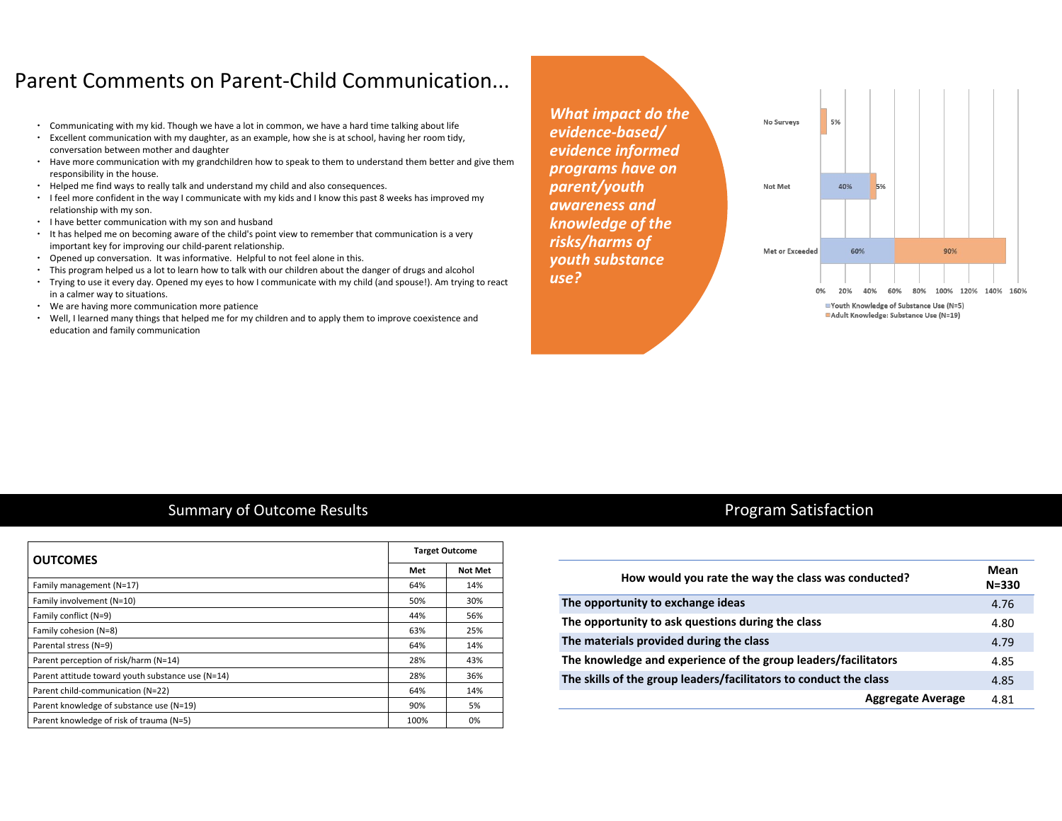### Parent Comments on Parent-Child Communication...

- ∙ Communicating with my kid. Though we have a lot in common, we have a hard time talking about life
- ∙ Excellent communication with my daughter, as an example, how she is at school, having her room tidy, conversation between mother and daughter
- ∙ Have more communication with my grandchildren how to speak to them to understand them better and give them responsibility in the house.
- ∙ Helped me find ways to really talk and understand my child and also consequences.
- ∙ I feel more confident in the way I communicate with my kids and I know this past 8 weeks has improved my relationship with my son.
- ∙ I have better communication with my son and husband
- ∙ It has helped me on becoming aware of the child's point view to remember that communication is a very important key for improving our child-parent relationship.
- ∙ Opened up conversation. It was informative. Helpful to not feel alone in this.
- ∙ This program helped us a lot to learn how to talk with our children about the danger of drugs and alcohol
- ∙ Trying to use it every day. Opened my eyes to how I communicate with my child (and spouse!). Am trying to react in a calmer way to situations.
- ∙ We are having more communication more patience
- ∙ Well, I learned many things that helped me for my children and to apply them to improve coexistence and education and family communication

*What impact do the evidence-based/ evidence informed programs have on parent/youth awareness and knowledge of the risks/harms of youth substance use?* 



### Summary of Outcome Results

| <b>OUTCOMES</b>                                   |      | <b>Target Outcome</b> |  |
|---------------------------------------------------|------|-----------------------|--|
|                                                   | Met  | <b>Not Met</b>        |  |
| Family management (N=17)                          | 64%  | 14%                   |  |
| Family involvement (N=10)                         | 50%  | 30%                   |  |
| Family conflict (N=9)                             | 44%  | 56%                   |  |
| Family cohesion (N=8)                             | 63%  | 25%                   |  |
| Parental stress (N=9)                             | 64%  | 14%                   |  |
| Parent perception of risk/harm (N=14)             | 28%  | 43%                   |  |
| Parent attitude toward youth substance use (N=14) | 28%  | 36%                   |  |
| Parent child-communication (N=22)                 | 64%  | 14%                   |  |
| Parent knowledge of substance use (N=19)          | 90%  | 5%                    |  |
| Parent knowledge of risk of trauma (N=5)          | 100% | 0%                    |  |

### Program Satisfaction

| How would you rate the way the class was conducted?               |      |
|-------------------------------------------------------------------|------|
| The opportunity to exchange ideas                                 | 4.76 |
| The opportunity to ask questions during the class                 | 4.80 |
| The materials provided during the class                           | 4.79 |
| The knowledge and experience of the group leaders/facilitators    |      |
| The skills of the group leaders/facilitators to conduct the class |      |
| <b>Aggregate Average</b>                                          | 4.81 |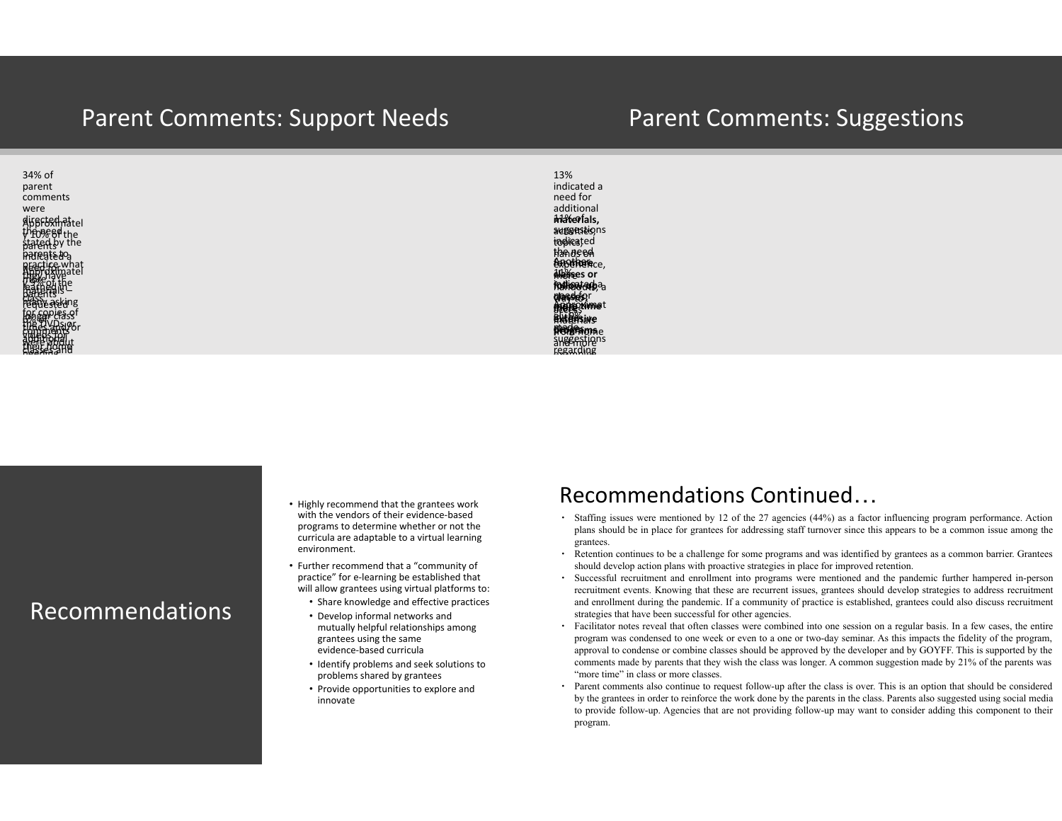### Parent Comments: Support Needs

### Parent Comments: Suggestions

![](_page_6_Figure_2.jpeg)

the

13% indicated a need for additional **materials,** auggestions topics, indicated hands on the need experience, for **more**  Another **Albrees or fronton and qlasses**or **argrés**an **Extensive from he** and more **MORE programs**e **more than the time than the set of the set of the set of the set of the set of the set of the set of the set of the set of the set of the set of the set of the set of the set of the set of the set of the set of the set of pleys from Archiertime**t **diadens** suggestions

examples

regarding

### Recommendations

- Highly recommend that the grantees work with the vendors of their evidence-based programs to determine whether or not the curricula are adaptable to a virtual learning environment.
- Further recommend that a "community of practice" for e-learning be established that will allow grantees using virtual platforms to:
	- Share knowledge and effective practices
	- Develop informal networks and mutually helpful relationships among grantees using the same evidence-based curricula
	- Identify problems and seek solutions to problems shared by grantees
	- Provide opportunities to explore and innovate

#### presentatio Recommendations Continued... participatio

- Staffing issues were mentioned by 12 of the 27 agencies (44%) as a factor influencing program performance. Action plans should be in place for grantees for addressing staff turnover since this appears to be a common issue among the grantees.
- ∙ Retention continues to be a challenge for some programs and was identified by grantees as a common barrier. Grantees should develop action plans with proactive strategies in place for improved retention.
- ∙ Successful recruitment and enrollment into programs were mentioned and the pandemic further hampered in-person recruitment events. Knowing that these are recurrent issues, grantees should develop strategies to address recruitment and enrollment during the pandemic. If a community of practice is established, grantees could also discuss recruitment strategies that have been successful for other agencies.
- ∙ Facilitator notes reveal that often classes were combined into one session on a regular basis. In a few cases, the entire program was condensed to one week or even to a one or two-day seminar. As this impacts the fidelity of the program, approval to condense or combine classes should be approved by the developer and by GOYFF. This is supported by the comments made by parents that they wish the class was longer. A common suggestion made by 21% of the parents was "more time" in class or more classes.
- ∙ Parent comments also continue to request follow-up after the class is over. This is an option that should be considered by the grantees in order to reinforce the work done by the parents in the class. Parents also suggested using social media to provide follow-up. Agencies that are not providing follow-up may want to consider adding this component to their program.